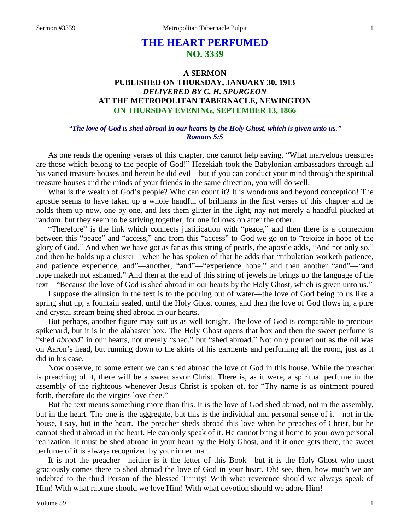# **THE HEART PERFUMED NO. 3339**

## **A SERMON PUBLISHED ON THURSDAY, JANUARY 30, 1913** *DELIVERED BY C. H. SPURGEON* **AT THE METROPOLITAN TABERNACLE, NEWINGTON ON THURSDAY EVENING, SEPTEMBER 13, 1866**

#### *"The love of God is shed abroad in our hearts by the Holy Ghost, which is given unto us." Romans 5:5*

As one reads the opening verses of this chapter, one cannot help saying, "What marvelous treasures are those which belong to the people of God!" Hezekiah took the Babylonian ambassadors through all his varied treasure houses and herein he did evil—but if you can conduct your mind through the spiritual treasure houses and the minds of your friends in the same direction, you will do well.

What is the wealth of God's people? Who can count it? It is wondrous and beyond conception! The apostle seems to have taken up a whole handful of brilliants in the first verses of this chapter and he holds them up now, one by one, and lets them glitter in the light, nay not merely a handful plucked at random, but they seem to be striving together, for one follows on after the other.

"Therefore" is the link which connects justification with "peace," and then there is a connection between this "peace" and "access," and from this "access" to God we go on to "rejoice in hope of the glory of God." And when we have got as far as this string of pearls, the apostle adds, "And not only so," and then he holds up a cluster—when he has spoken of that he adds that "tribulation worketh patience, and patience experience, and"—another, "and"—"experience hope," and then another "and"—"and hope maketh not ashamed." And then at the end of this string of jewels he brings up the language of the text—"Because the love of God is shed abroad in our hearts by the Holy Ghost, which is given unto us."

I suppose the allusion in the text is to the pouring out of water—the love of God being to us like a spring shut up, a fountain sealed, until the Holy Ghost comes, and then the love of God flows in, a pure and crystal stream being shed abroad in our hearts.

But perhaps, another figure may suit us as well tonight. The love of God is comparable to precious spikenard, but it is in the alabaster box. The Holy Ghost opens that box and then the sweet perfume is "shed *abroad*" in our hearts, not merely "shed," but "shed abroad." Not only poured out as the oil was on Aaron's head, but running down to the skirts of his garments and perfuming all the room, just as it did in his case.

Now observe, to some extent we can shed abroad the love of God in this house. While the preacher is preaching of it, there will be a sweet savor Christ. There is, as it were, a spiritual perfume in the assembly of the righteous whenever Jesus Christ is spoken of, for "Thy name is as ointment poured forth, therefore do the virgins love thee."

But the text means something more than this. It is the love of God shed abroad, not in the assembly, but in the heart. The one is the aggregate, but this is the individual and personal sense of it—not in the house, I say, but in the heart. The preacher sheds abroad this love when he preaches of Christ, but he cannot shed it abroad in the heart. He can only speak of it. He cannot bring it home to your own personal realization. It must be shed abroad in your heart by the Holy Ghost, and if it once gets there, the sweet perfume of it is always recognized by your inner man.

It is not the preacher—neither is it the letter of this Book—but it is the Holy Ghost who most graciously comes there to shed abroad the love of God in your heart. Oh! see, then, how much we are indebted to the third Person of the blessed Trinity! With what reverence should we always speak of Him! With what rapture should we love Him! With what devotion should we adore Him!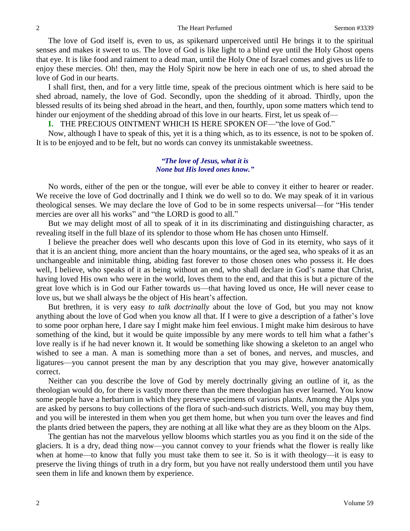The love of God itself is, even to us, as spikenard unperceived until He brings it to the spiritual senses and makes it sweet to us. The love of God is like light to a blind eye until the Holy Ghost opens that eye. It is like food and raiment to a dead man, until the Holy One of Israel comes and gives us life to enjoy these mercies. Oh! then, may the Holy Spirit now be here in each one of us, to shed abroad the love of God in our hearts.

I shall first, then, and for a very little time, speak of the precious ointment which is here said to be shed abroad, namely, the love of God. Secondly, upon the shedding of it abroad. Thirdly, upon the blessed results of its being shed abroad in the heart, and then, fourthly, upon some matters which tend to hinder our enjoyment of the shedding abroad of this love in our hearts. First, let us speak of—

**I.** THE PRECIOUS OINTMENT WHICH IS HERE SPOKEN OF—"the love of God."

Now, although I have to speak of this, yet it is a thing which, as to its essence, is not to be spoken of. It is to be enjoyed and to be felt, but no words can convey its unmistakable sweetness.

#### *"The love of Jesus, what it is None but His loved ones know."*

No words, either of the pen or the tongue, will ever be able to convey it either to hearer or reader. We receive the love of God doctrinally and I think we do well so to do. We may speak of it in various theological senses. We may declare the love of God to be in some respects universal—for "His tender mercies are over all his works" and "the LORD is good to all."

But we may delight most of all to speak of it in its discriminating and distinguishing character, as revealing itself in the full blaze of its splendor to those whom He has chosen unto Himself.

I believe the preacher does well who descants upon this love of God in its eternity, who says of it that it is an ancient thing, more ancient than the hoary mountains, or the aged sea, who speaks of it as an unchangeable and inimitable thing, abiding fast forever to those chosen ones who possess it. He does well, I believe, who speaks of it as being without an end, who shall declare in God's name that Christ, having loved His own who were in the world, loves them to the end, and that this is but a picture of the great love which is in God our Father towards us—that having loved us once, He will never cease to love us, but we shall always be the object of His heart's affection.

But brethren, it is very easy *to talk doctrinally* about the love of God, but you may not know anything about the love of God when you know all that. If I were to give a description of a father's love to some poor orphan here, I dare say I might make him feel envious. I might make him desirous to have something of the kind, but it would be quite impossible by any mere words to tell him what a father's love really is if he had never known it. It would be something like showing a skeleton to an angel who wished to see a man. A man is something more than a set of bones, and nerves, and muscles, and ligatures—you cannot present the man by any description that you may give, however anatomically correct.

Neither can you describe the love of God by merely doctrinally giving an outline of it, as the theologian would do, for there is vastly more there than the mere theologian has ever learned. You know some people have a herbarium in which they preserve specimens of various plants. Among the Alps you are asked by persons to buy collections of the flora of such-and-such districts. Well, you may buy them, and you will be interested in them when you get them home, but when you turn over the leaves and find the plants dried between the papers, they are nothing at all like what they are as they bloom on the Alps.

The gentian has not the marvelous yellow blooms which startles you as you find it on the side of the glaciers. It is a dry, dead thing now—you cannot convey to your friends what the flower is really like when at home—to know that fully you must take them to see it. So is it with theology—it is easy to preserve the living things of truth in a dry form, but you have not really understood them until you have seen them in life and known them by experience.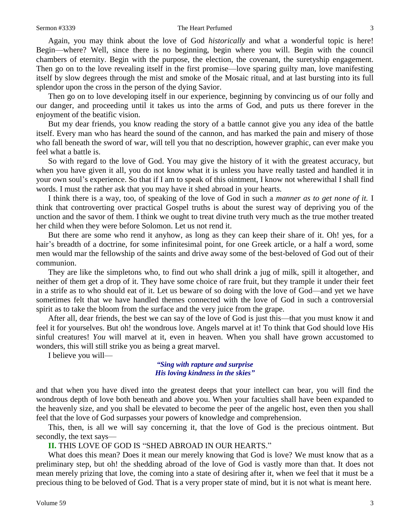#### Sermon #3339 The Heart Perfumed 3

Again, you may think about the love of God *historically* and what a wonderful topic is here! Begin—where? Well, since there is no beginning, begin where you will. Begin with the council chambers of eternity. Begin with the purpose, the election, the covenant, the suretyship engagement. Then go on to the love revealing itself in the first promise—love sparing guilty man, love manifesting itself by slow degrees through the mist and smoke of the Mosaic ritual, and at last bursting into its full splendor upon the cross in the person of the dying Savior.

Then go on to love developing itself in our experience, beginning by convincing us of our folly and our danger, and proceeding until it takes us into the arms of God, and puts us there forever in the enjoyment of the beatific vision.

But my dear friends, you know reading the story of a battle cannot give you any idea of the battle itself. Every man who has heard the sound of the cannon, and has marked the pain and misery of those who fall beneath the sword of war, will tell you that no description, however graphic, can ever make you feel what a battle is.

So with regard to the love of God. You may give the history of it with the greatest accuracy, but when you have given it all, you do not know what it is unless you have really tasted and handled it in your own soul's experience. So that if I am to speak of this ointment, I know not wherewithal I shall find words. I must the rather ask that you may have it shed abroad in your hearts.

I think there is a way, too, of speaking of the love of God in such a *manner as to get none of it.* I think that controverting over practical Gospel truths is about the surest way of depriving you of the unction and the savor of them. I think we ought to treat divine truth very much as the true mother treated her child when they were before Solomon. Let us not rend it.

But there are some who rend it anyhow, as long as they can keep their share of it. Oh! yes, for a hair's breadth of a doctrine, for some infinitesimal point, for one Greek article, or a half a word, some men would mar the fellowship of the saints and drive away some of the best-beloved of God out of their communion.

They are like the simpletons who, to find out who shall drink a jug of milk, spill it altogether, and neither of them get a drop of it. They have some choice of rare fruit, but they trample it under their feet in a strife as to who should eat of it. Let us beware of so doing with the love of God—and yet we have sometimes felt that we have handled themes connected with the love of God in such a controversial spirit as to take the bloom from the surface and the very juice from the grape.

After all, dear friends, the best we can say of the love of God is just this—that you must know it and feel it for yourselves. But oh! the wondrous love. Angels marvel at it! To think that God should love His sinful creatures! *You* will marvel at it, even in heaven. When you shall have grown accustomed to wonders, this will still strike you as being a great marvel.

I believe you will—

#### *"Sing with rapture and surprise His loving kindness in the skies"*

and that when you have dived into the greatest deeps that your intellect can bear, you will find the wondrous depth of love both beneath and above you. When your faculties shall have been expanded to the heavenly size, and you shall be elevated to become the peer of the angelic host, even then you shall feel that the love of God surpasses your powers of knowledge and comprehension.

This, then, is all we will say concerning it, that the love of God is the precious ointment. But secondly, the text says—

**II.** THIS LOVE OF GOD IS "SHED ABROAD IN OUR HEARTS."

What does this mean? Does it mean our merely knowing that God is love? We must know that as a preliminary step, but oh! the shedding abroad of the love of God is vastly more than that. It does not mean merely prizing that love, the coming into a state of desiring after it, when we feel that it must be a precious thing to be beloved of God. That is a very proper state of mind, but it is not what is meant here.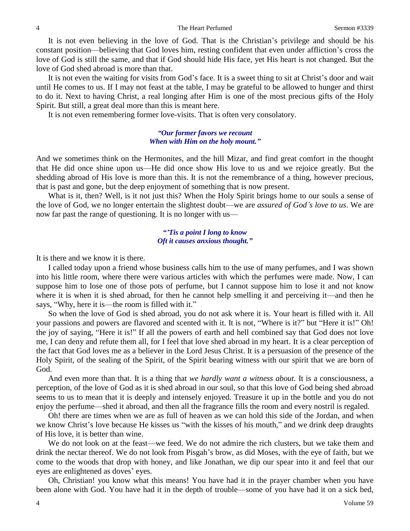It is not even believing in the love of God. That is the Christian's privilege and should be his constant position—believing that God loves him, resting confident that even under affliction's cross the love of God is still the same, and that if God should hide His face, yet His heart is not changed. But the love of God shed abroad is more than that.

It is not even the waiting for visits from God's face. It is a sweet thing to sit at Christ's door and wait until He comes to us. If I may not feast at the table, I may be grateful to be allowed to hunger and thirst to do it. Next to having Christ, a real longing after Him is one of the most precious gifts of the Holy Spirit. But still, a great deal more than this is meant here.

It is not even remembering former love-visits. That is often very consolatory.

#### *"Our former favors we recount When with Him on the holy mount."*

And we sometimes think on the Hermonites, and the hill Mizar, and find great comfort in the thought that He did once shine upon us—He did once show His love to us and we rejoice greatly. But the shedding abroad of His love is more than this. It is not the remembrance of a thing, however precious, that is past and gone, but the deep enjoyment of something that is now present.

What is it, then? Well, is it not just this? When the Holy Spirit brings home to our souls a sense of the love of God, we no longer entertain the slightest doubt—we are *assured of God's love to us*. We are now far past the range of questioning. It is no longer with us—

## *"'Tis a point I long to know Oft it causes anxious thought."*

It is there and we know it is there.

I called today upon a friend whose business calls him to the use of many perfumes, and I was shown into his little room, where there were various articles with which the perfumes were made. Now, I can suppose him to lose one of those pots of perfume, but I cannot suppose him to lose it and not know where it is when it is shed abroad, for then he cannot help smelling it and perceiving it—and then he says, "Why, here it is—the room is filled with it."

So when the love of God is shed abroad, you do not ask where it is. Your heart is filled with it. All your passions and powers are flavored and scented with it. It is not, "Where is it?" but "Here it is!" Oh! the joy of saying, "Here it is!" If all the powers of earth and hell combined say that God does not love me, I can deny and refute them all, for I feel that love shed abroad in my heart. It is a clear perception of the fact that God loves me as a believer in the Lord Jesus Christ. It is a persuasion of the presence of the Holy Spirit, of the sealing of the Spirit, of the Spirit bearing witness with our spirit that we are born of God.

And even more than that. It is a thing that *we hardly want a witness about.* It is a consciousness, a perception, of the love of God as it is shed abroad in our soul, so that this love of God being shed abroad seems to us to mean that it is deeply and intensely enjoyed. Treasure it up in the bottle and you do not enjoy the perfume—shed it abroad, and then all the fragrance fills the room and every nostril is regaled.

Oh! there are times when we are as full of heaven as we can hold this side of the Jordan, and when we know Christ's love because He kisses us "with the kisses of his mouth," and we drink deep draughts of His love, it is better than wine.

We do not look on at the feast—we feed. We do not admire the rich clusters, but we take them and drink the nectar thereof. We do not look from Pisgah's brow, as did Moses, with the eye of faith, but we come to the woods that drop with honey, and like Jonathan, we dip our spear into it and feel that our eyes are enlightened as doves' eyes.

Oh, Christian! you know what this means! You have had it in the prayer chamber when you have been alone with God. You have had it in the depth of trouble—some of you have had it on a sick bed,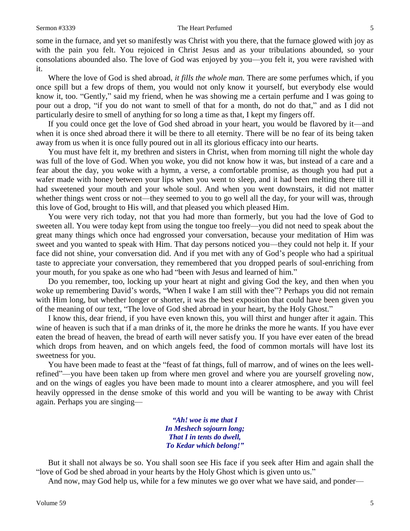#### Sermon #3339 The Heart Perfumed 5

some in the furnace, and yet so manifestly was Christ with you there, that the furnace glowed with joy as with the pain you felt. You rejoiced in Christ Jesus and as your tribulations abounded, so your consolations abounded also. The love of God was enjoyed by you—you felt it, you were ravished with it.

Where the love of God is shed abroad, *it fills the whole man.* There are some perfumes which, if you once spill but a few drops of them, you would not only know it yourself, but everybody else would know it, too. "Gently," said my friend, when he was showing me a certain perfume and I was going to pour out a drop, "if you do not want to smell of that for a month, do not do that," and as I did not particularly desire to smell of anything for so long a time as that, I kept my fingers off.

If you could once get the love of God shed abroad in your heart, you would be flavored by it—and when it is once shed abroad there it will be there to all eternity. There will be no fear of its being taken away from us when it is once fully poured out in all its glorious efficacy into our hearts.

You must have felt it, my brethren and sisters in Christ, when from morning till night the whole day was full of the love of God. When you woke, you did not know how it was, but instead of a care and a fear about the day, you woke with a hymn, a verse, a comfortable promise, as though you had put a wafer made with honey between your lips when you went to sleep, and it had been melting there till it had sweetened your mouth and your whole soul. And when you went downstairs, it did not matter whether things went cross or not—they seemed to you to go well all the day, for your will was, through this love of God, brought to His will, and that pleased you which pleased Him.

You were very rich today, not that you had more than formerly, but you had the love of God to sweeten all. You were today kept from using the tongue too freely—you did not need to speak about the great many things which once had engrossed your conversation, because your meditation of Him was sweet and you wanted to speak with Him. That day persons noticed you—they could not help it. If your face did not shine, your conversation did. And if you met with any of God's people who had a spiritual taste to appreciate your conversation, they remembered that you dropped pearls of soul-enriching from your mouth, for you spake as one who had "been with Jesus and learned of him."

Do you remember, too, locking up your heart at night and giving God the key, and then when you woke up remembering David's words, "When I wake I am still with thee"? Perhaps you did not remain with Him long, but whether longer or shorter, it was the best exposition that could have been given you of the meaning of our text, "The love of God shed abroad in your heart, by the Holy Ghost."

I know this, dear friend, if you have even known this, you will thirst and hunger after it again. This wine of heaven is such that if a man drinks of it, the more he drinks the more he wants. If you have ever eaten the bread of heaven, the bread of earth will never satisfy you. If you have ever eaten of the bread which drops from heaven, and on which angels feed, the food of common mortals will have lost its sweetness for you.

You have been made to feast at the "feast of fat things, full of marrow, and of wines on the lees wellrefined"—you have been taken up from where men grovel and where you are yourself groveling now, and on the wings of eagles you have been made to mount into a clearer atmosphere, and you will feel heavily oppressed in the dense smoke of this world and you will be wanting to be away with Christ again. Perhaps you are singing—

> *"Ah! woe is me that I In Meshech sojourn long; That I in tents do dwell, To Kedar which belong!"*

But it shall not always be so. You shall soon see His face if you seek after Him and again shall the "love of God be shed abroad in your hearts by the Holy Ghost which is given unto us."

And now, may God help us, while for a few minutes we go over what we have said, and ponder—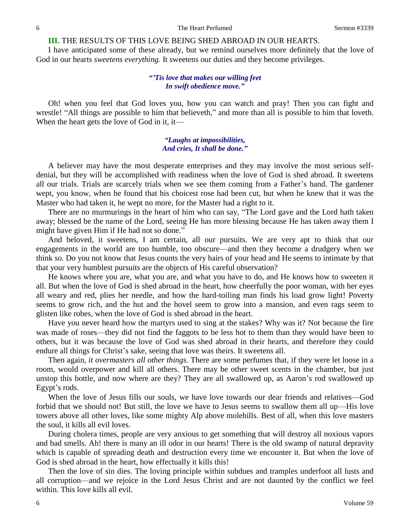#### **III.** THE RESULTS OF THIS LOVE BEING SHED ABROAD IN OUR HEARTS.

I have anticipated some of these already, but we remind ourselves more definitely that the love of God in our hearts *sweetens everything.* It sweetens our duties and they become privileges.

### *"'Tis love that makes our willing feet In swift obedience move."*

Oh! when you feel that God loves you, how you can watch and pray! Then you can fight and wrestle! "All things are possible to him that believeth," and more than all is possible to him that loveth. When the heart gets the love of God in it, it—

#### *"Laughs at impossibilities, And cries, It shall be done."*

A believer may have the most desperate enterprises and they may involve the most serious selfdenial, but they will be accomplished with readiness when the love of God is shed abroad. It sweetens all our trials. Trials are scarcely trials when we see them coming from a Father's hand. The gardener wept, you know, when he found that his choicest rose had been cut, but when he knew that it was the Master who had taken it, he wept no more, for the Master had a right to it.

There are no murmurings in the heart of him who can say, "The Lord gave and the Lord hath taken away; blessed be the name of the Lord, seeing He has more blessing because He has taken away them I might have given Him if He had not so done."

And beloved, it sweetens, I am certain, all our pursuits. We are very apt to think that our engagements in the world are too humble, too obscure—and then they become a drudgery when we think so. Do you not know that Jesus counts the very hairs of your head and He seems to intimate by that that your very humblest pursuits are the objects of His careful observation?

He knows where you are, what you are, and what you have to do, and He knows how to sweeten it all. But when the love of God is shed abroad in the heart, how cheerfully the poor woman, with her eyes all weary and red, plies her needle, and how the hard-toiling man finds his load grow light! Poverty seems to grow rich, and the hut and the hovel seem to grow into a mansion, and even rags seem to glisten like robes, when the love of God is shed abroad in the heart.

Have you never heard how the martyrs used to sing at the stakes? Why was it? Not because the fire was made of roses—they did not find the faggots to be less hot to them than they would have been to others, but it was because the love of God was shed abroad in their hearts, and therefore they could endure all things for Christ's sake, seeing that love was theirs. It sweetens all.

Then again, *it overmasters all other things.* There are some perfumes that, if they were let loose in a room, would overpower and kill all others. There may be other sweet scents in the chamber, but just unstop this bottle, and now where are they? They are all swallowed up, as Aaron's rod swallowed up Egypt's rods.

When the love of Jesus fills our souls, we have love towards our dear friends and relatives—God forbid that we should not! But still, the love we have to Jesus seems to swallow them all up—His love towers above all other loves, like some mighty Alp above molehills. Best of all, when this love masters the soul, it kills all evil loves.

During cholera times, people are very anxious to get something that will destroy all noxious vapors and bad smells. Ah! there is many an ill odor in our hearts! There is the old swamp of natural depravity which is capable of spreading death and destruction every time we encounter it. But when the love of God is shed abroad in the heart, how effectually it kills this!

Then the love of sin dies. The loving principle within subdues and tramples underfoot all lusts and all corruption—and we rejoice in the Lord Jesus Christ and are not daunted by the conflict we feel within. This love kills all evil.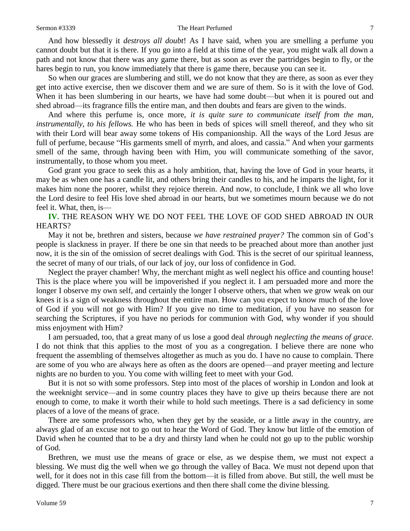#### Sermon #3339 The Heart Perfumed 7

And how blessedly it *destroys all doubt*! As I have said, when you are smelling a perfume you cannot doubt but that it is there. If you go into a field at this time of the year, you might walk all down a path and not know that there was any game there, but as soon as ever the partridges begin to fly, or the hares begin to run, you know immediately that there is game there, because you can see it.

So when our graces are slumbering and still, we do not know that they are there, as soon as ever they get into active exercise, then we discover them and we are sure of them. So is it with the love of God. When it has been slumbering in our hearts, we have had some doubt—but when it is poured out and shed abroad—its fragrance fills the entire man, and then doubts and fears are given to the winds.

And where this perfume is, once more, *it is quite sure to communicate itself from the man, instrumentally, to his fellows.* He who has been in beds of spices will smell thereof, and they who sit with their Lord will bear away some tokens of His companionship. All the ways of the Lord Jesus are full of perfume, because "His garments smell of myrrh, and aloes, and cassia." And when your garments smell of the same, through having been with Him, you will communicate something of the savor, instrumentally, to those whom you meet.

God grant you grace to seek this as a holy ambition, that, having the love of God in your hearts, it may be as when one has a candle lit, and others bring their candles to his, and he imparts the light, for it makes him none the poorer, whilst they rejoice therein. And now, to conclude, I think we all who love the Lord desire to feel His love shed abroad in our hearts, but we sometimes mourn because we do not feel it. What, then, is—

## **IV.** THE REASON WHY WE DO NOT FEEL THE LOVE OF GOD SHED ABROAD IN OUR HEARTS?

May it not be, brethren and sisters, because *we have restrained prayer?* The common sin of God's people is slackness in prayer. If there be one sin that needs to be preached about more than another just now, it is the sin of the omission of secret dealings with God. This is the secret of our spiritual leanness, the secret of many of our trials, of our lack of joy, our loss of confidence in God.

Neglect the prayer chamber! Why, the merchant might as well neglect his office and counting house! This is the place where you will be impoverished if you neglect it. I am persuaded more and more the longer I observe my own self, and certainly the longer I observe others, that when we grow weak on our knees it is a sign of weakness throughout the entire man. How can you expect to know much of the love of God if you will not go with Him? If you give no time to meditation, if you have no season for searching the Scriptures, if you have no periods for communion with God, why wonder if you should miss enjoyment with Him?

I am persuaded, too, that a great many of us lose a good deal *through neglecting the means of grace.* I do not think that this applies to the most of you as a congregation. I believe there are none who frequent the assembling of themselves altogether as much as you do. I have no cause to complain. There are some of you who are always here as often as the doors are opened—and prayer meeting and lecture nights are no burden to you. You come with willing feet to meet with your God.

But it is not so with some professors. Step into most of the places of worship in London and look at the weeknight service—and in some country places they have to give up theirs because there are not enough to come, to make it worth their while to hold such meetings. There is a sad deficiency in some places of a love of the means of grace.

There are some professors who, when they get by the seaside, or a little away in the country, are always glad of an excuse not to go out to hear the Word of God. They know but little of the emotion of David when he counted that to be a dry and thirsty land when he could not go up to the public worship of God.

Brethren, we must use the means of grace or else, as we despise them, we must not expect a blessing. We must dig the well when we go through the valley of Baca. We must not depend upon that well, for it does not in this case fill from the bottom—it is filled from above. But still, the well must be digged. There must be our gracious exertions and then there shall come the divine blessing.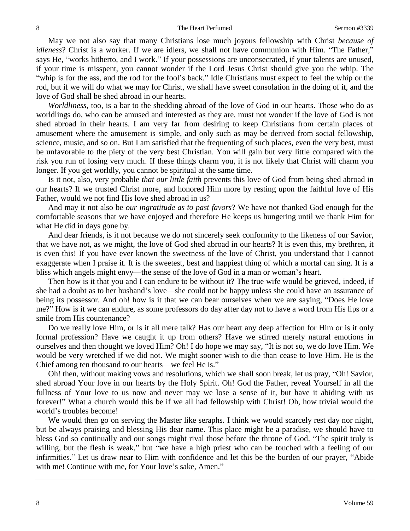May we not also say that many Christians lose much joyous fellowship with Christ *because of idleness*? Christ is a worker. If we are idlers, we shall not have communion with Him. "The Father," says He, "works hitherto, and I work." If your possessions are unconsecrated, if your talents are unused, if your time is misspent, you cannot wonder if the Lord Jesus Christ should give you the whip. The "whip is for the ass, and the rod for the fool's back." Idle Christians must expect to feel the whip or the rod, but if we will do what we may for Christ, we shall have sweet consolation in the doing of it, and the love of God shall be shed abroad in our hearts.

*Worldliness,* too, is a bar to the shedding abroad of the love of God in our hearts. Those who do as worldlings do, who can be amused and interested as they are, must not wonder if the love of God is not shed abroad in their hearts. I am very far from desiring to keep Christians from certain places of amusement where the amusement is simple, and only such as may be derived from social fellowship, science, music, and so on. But I am satisfied that the frequenting of such places, even the very best, must be unfavorable to the piety of the very best Christian. You will gain but very little compared with the risk you run of losing very much. If these things charm you, it is not likely that Christ will charm you longer. If you get worldly, you cannot be spiritual at the same time.

Is it not, also, very probable *that our little faith* prevents this love of God from being shed abroad in our hearts? If we trusted Christ more, and honored Him more by resting upon the faithful love of His Father, would we not find His love shed abroad in us?

And may it not also be *our ingratitude as to past favors*? We have not thanked God enough for the comfortable seasons that we have enjoyed and therefore He keeps us hungering until we thank Him for what He did in days gone by.

And dear friends, is it not because we do not sincerely seek conformity to the likeness of our Savior, that we have not, as we might, the love of God shed abroad in our hearts? It is even this, my brethren, it is even this! If you have ever known the sweetness of the love of Christ, you understand that I cannot exaggerate when I praise it. It is the sweetest, best and happiest thing of which a mortal can sing. It is a bliss which angels might envy—the sense of the love of God in a man or woman's heart.

Then how is it that you and I can endure to be without it? The true wife would be grieved, indeed, if she had a doubt as to her husband's love—she could not be happy unless she could have an assurance of being its possessor. And oh! how is it that we can bear ourselves when we are saying, "Does He love me?" How is it we can endure, as some professors do day after day not to have a word from His lips or a smile from His countenance?

Do we really love Him, or is it all mere talk? Has our heart any deep affection for Him or is it only formal profession? Have we caught it up from others? Have we stirred merely natural emotions in ourselves and then thought we loved Him? Oh! I do hope we may say, "It is not so, we do love Him. We would be very wretched if we did not. We might sooner wish to die than cease to love Him. He is the Chief among ten thousand to our hearts—we feel He is."

Oh! then, without making vows and resolutions, which we shall soon break, let us pray, "Oh! Savior, shed abroad Your love in our hearts by the Holy Spirit. Oh! God the Father, reveal Yourself in all the fullness of Your love to us now and never may we lose a sense of it, but have it abiding with us forever!" What a church would this be if we all had fellowship with Christ! Oh, how trivial would the world's troubles become!

We would then go on serving the Master like seraphs. I think we would scarcely rest day nor night, but be always praising and blessing His dear name. This place might be a paradise, we should have to bless God so continually and our songs might rival those before the throne of God. "The spirit truly is willing, but the flesh is weak," but "we have a high priest who can be touched with a feeling of our infirmities." Let us draw near to Him with confidence and let this be the burden of our prayer, "Abide with me! Continue with me, for Your love's sake, Amen."